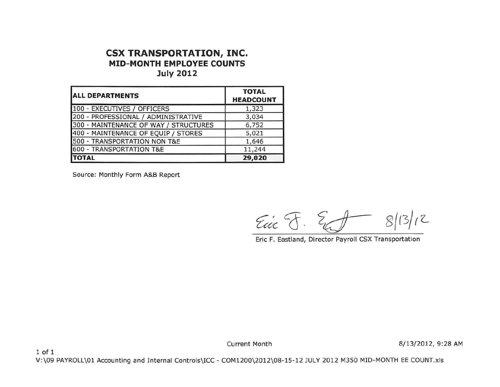## **CSX TRANSPORTATION, INC. MID-MONTH EMPLOYEE COUNTS July 2012**

| <b>ALL DEPARTMENTS</b>                | <b>TOTAL</b><br><b>HEADCOUNT</b> |  |  |
|---------------------------------------|----------------------------------|--|--|
| 100 - EXECUTIVES / OFFICERS           | 1,323                            |  |  |
| 200 - PROFESSIONAL / ADMINISTRATIVE   | 3,034                            |  |  |
| 300 - MAINTENANCE OF WAY / STRUCTURES | 6,752                            |  |  |
| 400 - MAINTENANCE OF EQUIP / STORES   | 5,021                            |  |  |
| 500 - TRANSPORTATION NON T&E          | 1,646                            |  |  |
| 600 - TRANSPORTATION T&E              | 11,244                           |  |  |
| <b>TOTAL</b>                          | 29,020                           |  |  |

Source: Monthly Form A&B Report

1 of 1

 $E_{\text{vir}}$   $\S$ .  $\S$   $f$   $\approx$   $f$   $\approx$   $|3|$   $|2|$ 

Eric F. Eastland, Director Payroll CSX Transportation

Current Month 8/13/2012, 9:28 AM

V:\09 PAYROLL\01 Accounting and Internal Controls\ICC- COM1200\2012\08-15-12 JULY 2012 M350 MID-MONTH EE COUNT.xls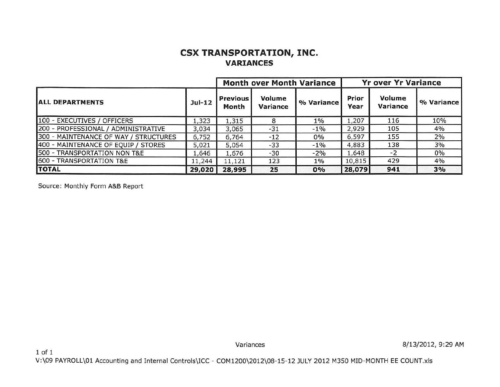## **CSX TRANSPORTATION, INC. VARIANCES**

|                                       |          |                          |                    | <b>Month over Month Variance</b> | <b>Yr over Yr Variance</b> |                    |            |
|---------------------------------------|----------|--------------------------|--------------------|----------------------------------|----------------------------|--------------------|------------|
| <b>ALL DEPARTMENTS</b>                | $Jul-12$ | <b>Previous</b><br>Month | Volume<br>Variance | % Variance                       | Prior<br>Year              | Volume<br>Variance | % Variance |
| 100 - EXECUTIVES / OFFICERS           | 1,323    | 1,315                    |                    | $1\%$                            | 1,207                      | 116                | 10%        |
| 200 - PROFESSIONAL / ADMINISTRATIVE   | 3,034    | 3,065                    | $-31$              | $-1\%$                           | 2,929                      | 105                | 4%         |
| 300 - MAINTENANCE OF WAY / STRUCTURES | 6,752    | 6,764                    | $-12$              | 0%                               | 6,597                      | 155                | 2%         |
| 400 - MAINTENANCE OF EQUIP / STORES   | 5,021    | 5,054                    | $-33$              | $-1\%$                           | 4,883                      | 138                | 3%         |
| 500 - TRANSPORTATION NON T&E          | 1,646    | 1,676                    | $-30$              | $-2%$                            | 1,648                      | $-2$               | 0%         |
| 600 - TRANSPORTATION T&E              | 11,244   | 11,121                   | 123                | $1\%$                            | 10,815                     | 429                | 4%         |
| <b>TOTAL</b>                          | 29,020   | 28,995                   | 25                 | 0%                               | 28,079                     | 941                | 3%         |

Source: Monthly Form A&B Report

Variances 8/13/2012, 9:29 AM